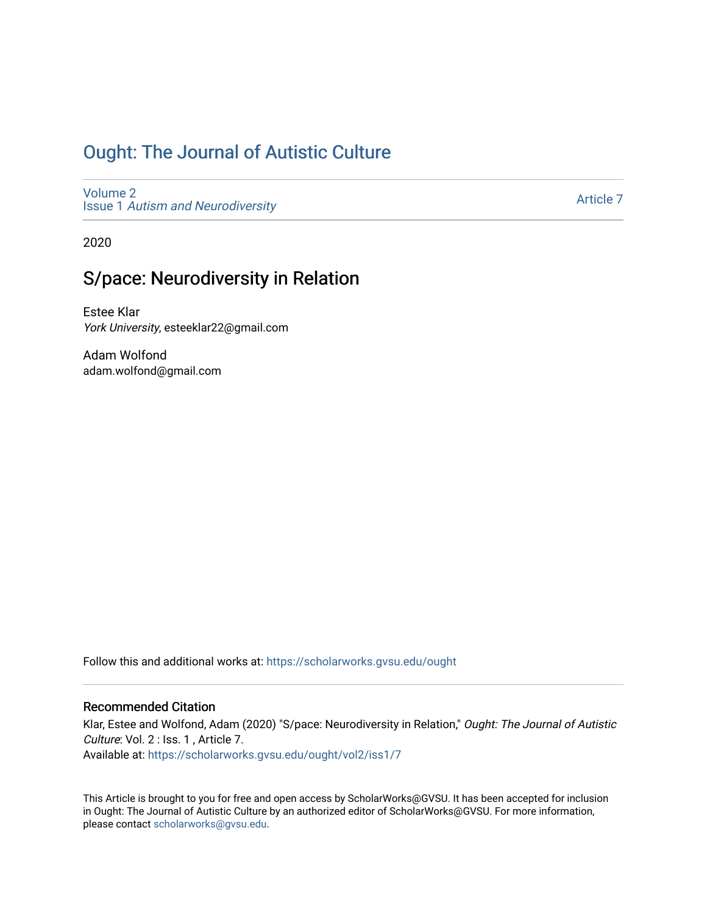## [Ought: The Journal of Autistic Culture](https://scholarworks.gvsu.edu/ought)

[Volume 2](https://scholarworks.gvsu.edu/ought/vol2) Issue 1 [Autism and Neurodiversity](https://scholarworks.gvsu.edu/ought/vol2/iss1) 

[Article 7](https://scholarworks.gvsu.edu/ought/vol2/iss1/7) 

2020

## S/pace: Neurodiversity in Relation

Estee Klar York University, esteeklar22@gmail.com

Adam Wolfond adam.wolfond@gmail.com

Follow this and additional works at: [https://scholarworks.gvsu.edu/ought](https://scholarworks.gvsu.edu/ought?utm_source=scholarworks.gvsu.edu%2Fought%2Fvol2%2Fiss1%2F7&utm_medium=PDF&utm_campaign=PDFCoverPages) 

#### Recommended Citation

Klar, Estee and Wolfond, Adam (2020) "S/pace: Neurodiversity in Relation," Ought: The Journal of Autistic Culture: Vol. 2 : Iss. 1, Article 7. Available at: [https://scholarworks.gvsu.edu/ought/vol2/iss1/7](https://scholarworks.gvsu.edu/ought/vol2/iss1/7?utm_source=scholarworks.gvsu.edu%2Fought%2Fvol2%2Fiss1%2F7&utm_medium=PDF&utm_campaign=PDFCoverPages) 

This Article is brought to you for free and open access by ScholarWorks@GVSU. It has been accepted for inclusion in Ought: The Journal of Autistic Culture by an authorized editor of ScholarWorks@GVSU. For more information, please contact [scholarworks@gvsu.edu](mailto:scholarworks@gvsu.edu).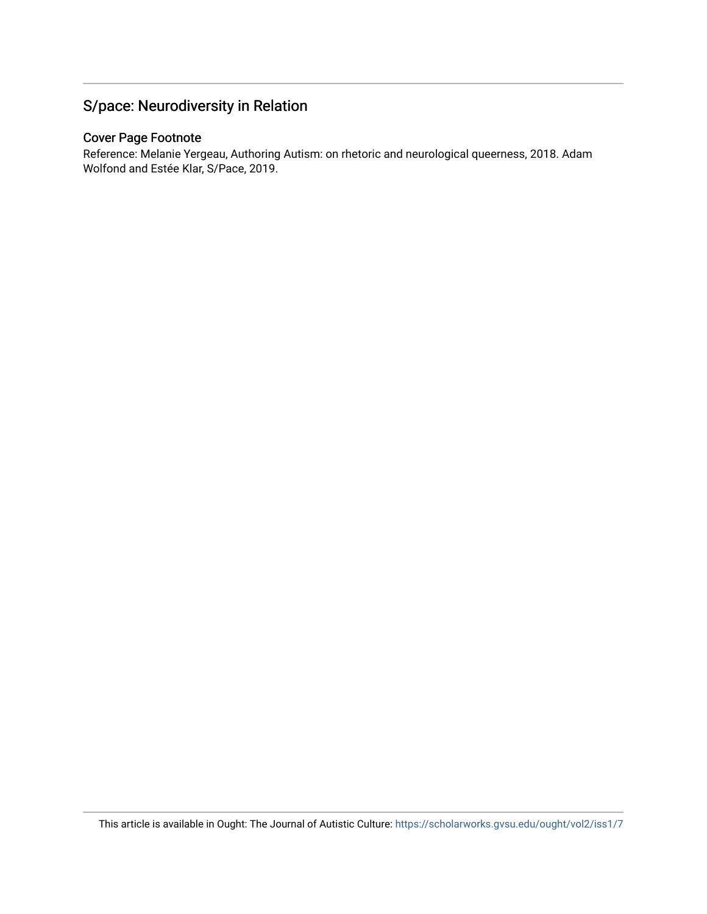### S/pace: Neurodiversity in Relation

#### Cover Page Footnote

Reference: Melanie Yergeau, Authoring Autism: on rhetoric and neurological queerness, 2018. Adam Wolfond and Estée Klar, S/Pace, 2019.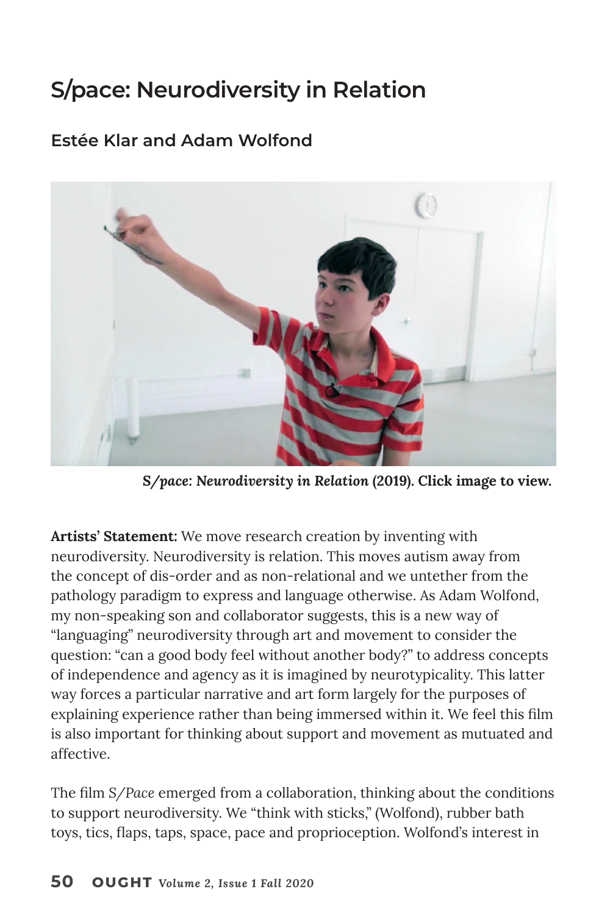# **S/pace: Neurodiversity in Relation**

#### **Estée Klar and Adam Wolfond**



*[S/pace: Neurodiversity in Relation](https://vimeo.com/363876394)* **(2019). Click image to view.**

**Artists' Statement:** We move research creation by inventing with neurodiversity. Neurodiversity is relation. This moves autism away from the concept of dis-order and as non-relational and we untether from the pathology paradigm to express and language otherwise. As Adam Wolfond, my non-speaking son and collaborator suggests, this is a new way of "languaging" neurodiversity through art and movement to consider the question: "can a good body feel without another body?" to address concepts of independence and agency as it is imagined by neurotypicality. This latter way forces a particular narrative and art form largely for the purposes of explaining experience rather than being immersed within it. We feel this film is also important for thinking about support and movement as mutuated and affective.

The film *S/Pace* emerged from a collaboration, thinking about the conditions to support neurodiversity. We "think with sticks," (Wolfond), rubber bath toys, tics, flaps, taps, space, pace and proprioception. Wolfond's interest in